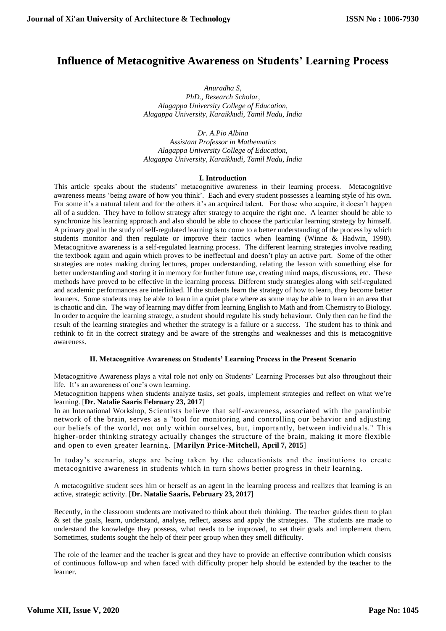# **Influence of Metacognitive Awareness on Students' Learning Process**

*Anuradha S, PhD., Research Scholar, Alagappa University College of Education, Alagappa University, Karaikkudi, Tamil Nadu, India*

*Dr. A.Pio Albina Assistant Professor in Mathematics Alagappa University College of Education, Alagappa University, Karaikkudi, Tamil Nadu, India*

## **I. Introduction**

This article speaks about the students' metacognitive awareness in their learning process. Metacognitive awareness means 'being aware of how you think'. Each and every student possesses a learning style of his own. For some it's a natural talent and for the others it's an acquired talent. For those who acquire, it doesn't happen all of a sudden. They have to follow strategy after strategy to acquire the right one. A learner should be able to synchronize his learning approach and also should be able to choose the particular learning strategy by himself. A primary goal in the study of self-regulated learning is to come to a better understanding of the process by which students monitor and then regulate or improve their tactics when learning (Winne & Hadwin, 1998). Metacognitive awareness is a self-regulated learning process. The different learning strategies involve reading the textbook again and again which proves to be ineffectual and doesn't play an active part. Some of the other strategies are notes making during lectures, proper understanding, relating the lesson with something else for better understanding and storing it in memory for further future use, creating mind maps, discussions, etc. These methods have proved to be effective in the learning process. Different study strategies along with self-regulated and academic performances are interlinked. If the students learn the strategy of how to learn, they become better learners. Some students may be able to learn in a quiet place where as some may be able to learn in an area that is chaotic and din. The way of learning may differ from learning English to Math and from Chemistry to Biology. In order to acquire the learning strategy, a student should regulate his study behaviour. Only then can he find the result of the learning strategies and whether the strategy is a failure or a success. The student has to think and rethink to fit in the correct strategy and be aware of the strengths and weaknesses and this is metacognitive awareness.

# **II. Metacognitive Awareness on Students' Learning Process in the Present Scenario**

Metacognitive Awareness plays a vital role not only on Students' Learning Processes but also throughout their life. It's an awareness of one's own learning.

Metacognition happens when students analyze tasks, set goals, implement strategies and reflect on what we're learning. [**Dr. Natalie Saaris February 23, 2017**]

In an International Workshop, Scientists believe that self-awareness, associated with the paralimbic network of the brain, serves as a "tool for monitoring and controlling our behavior and adjusting our beliefs of the world, not only within ourselves, but, importantly, between individu als." This higher-order thinking strategy actually changes the structure of the brain, making it more flexible and open to even greater learning. [**[Marilyn Price-Mitchell,](https://www.edutopia.org/profile/marilyn-price-mitchell-phd) April 7, 2015**]

In today's scenario, steps are being taken by the educationists and the institutions to create metacognitive awareness in students which in turn shows better progress in their learning.

A metacognitive student sees him or herself as an agent in the learning process and realizes that learning is an active, strategic activity. [**Dr. Natalie Saaris, February 23, 2017]**

Recently, in the classroom students are motivated to think about their thinking. The teacher guides them to plan & set the goals, learn, understand, analyse, reflect, assess and apply the strategies. The students are made to understand the knowledge they possess, what needs to be improved, to set their goals and implement them. Sometimes, students sought the help of their peer group when they smell difficulty.

The role of the learner and the teacher is great and they have to provide an effective contribution which consists of continuous follow-up and when faced with difficulty proper help should be extended by the teacher to the learner.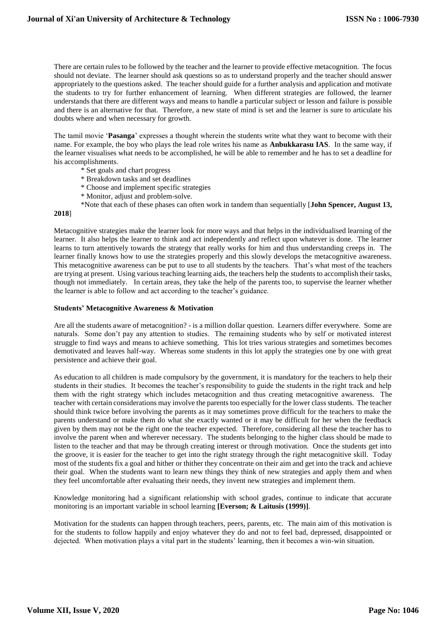There are certain rules to be followed by the teacher and the learner to provide effective metacognition. The focus should not deviate. The learner should ask questions so as to understand properly and the teacher should answer appropriately to the questions asked. The teacher should guide for a further analysis and application and motivate the students to try for further enhancement of learning. When different strategies are followed, the learner understands that there are different ways and means to handle a particular subject or lesson and failure is possible and there is an alternative for that. Therefore, a new state of mind is set and the learner is sure to articulate his doubts where and when necessary for growth.

The tamil movie '**Pasanga**' expresses a thought wherein the students write what they want to become with their name. For example, the boy who plays the lead role writes his name as **Anbukkarasu IAS**. In the same way, if the learner visualises what needs to be accomplished, he will be able to remember and he has to set a deadline for his accomplishments.

- \* Set goals and chart progress
- \* Breakdown tasks and set deadlines
- \* Choose and implement specific strategies
- \* Monitor, adjust and problem-solve.
- \*Note that each of these phases can often work in tandem than sequentially [**John Spencer, August 13,**

**2018**]

Metacognitive strategies make the learner look for more ways and that helps in the individualised learning of the learner. It also helps the learner to think and act independently and reflect upon whatever is done. The learner learns to turn attentively towards the strategy that really works for him and thus understanding creeps in. The learner finally knows how to use the strategies properly and this slowly develops the metacognitive awareness. This metacognitive awareness can be put to use to all students by the teachers. That's what most of the teachers are trying at present. Using various teaching learning aids, the teachers help the students to accomplish their tasks, though not immediately. In certain areas, they take the help of the parents too, to supervise the learner whether the learner is able to follow and act according to the teacher's guidance.

#### **Students' Metacognitive Awareness & Motivation**

Are all the students aware of metacognition? - is a million dollar question. Learners differ everywhere. Some are naturals. Some don't pay any attention to studies. The remaining students who by self or motivated interest struggle to find ways and means to achieve something. This lot tries various strategies and sometimes becomes demotivated and leaves half-way. Whereas some students in this lot apply the strategies one by one with great persistence and achieve their goal.

As education to all children is made compulsory by the government, it is mandatory for the teachers to help their students in their studies. It becomes the teacher's responsibility to guide the students in the right track and help them with the right strategy which includes metacognition and thus creating metacognitive awareness. The teacher with certain considerations may involve the parents too especially for the lower class students. The teacher should think twice before involving the parents as it may sometimes prove difficult for the teachers to make the parents understand or make them do what she exactly wanted or it may be difficult for her when the feedback given by them may not be the right one the teacher expected. Therefore, considering all these the teacher has to involve the parent when and wherever necessary. The students belonging to the higher class should be made to listen to the teacher and that may be through creating interest or through motivation. Once the students get into the groove, it is easier for the teacher to get into the right strategy through the right metacognitive skill. Today most of the students fix a goal and hither or thither they concentrate on their aim and get into the track and achieve their goal. When the students want to learn new things they think of new strategies and apply them and when they feel uncomfortable after evaluating their needs, they invent new strategies and implement them.

Knowledge monitoring had a significant relationship with school grades, continue to indicate that accurate monitoring is an important variable in school learning **[Everson; & Laitusis (1999)]**.

Motivation for the students can happen through teachers, peers, parents, etc. The main aim of this motivation is for the students to follow happily and enjoy whatever they do and not to feel bad, depressed, disappointed or dejected. When motivation plays a vital part in the students' learning, then it becomes a win-win situation.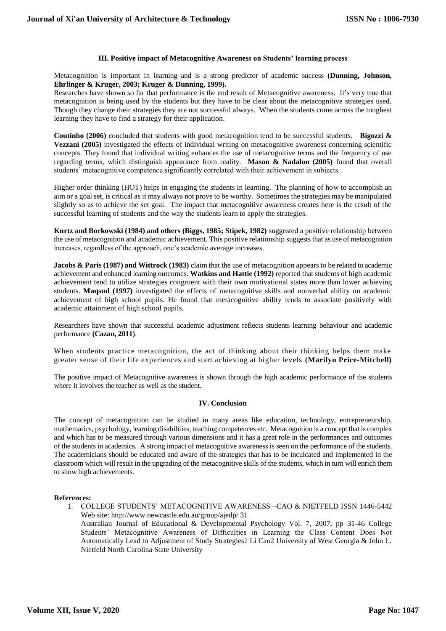## **III. Positive impact of Metacognitive Awareness on Students' learning process**

Metacognition is important in learning and is a strong predictor of academic success **(Dunning, Johnson, Ehrlinger & Kruger, 2003; Kruger & Dunning, 1999).**

Researches have shown so far that performance is the end result of Metacognitive awareness. It's very true that metacognition is being used by the students but they have to be clear about the metacognitive strategies used. Though they change their strategies they are not successful always. When the students come across the toughest learning they have to find a strategy for their application.

**Coutinho (2006)** concluded that students with good metacognition tend to be successful students. **Bigozzi & Vezzani (2005)** investigated the effects of individual writing on metacognitive awareness concerning scientific concepts. They found that individual writing enhances the use of metacognitive terms and the frequency of use regarding terms, which distinguish appearance from reality. **Mason & Nadalon (2005)** found that overall students' metacognitive competence significantly correlated with their achievement in subjects.

Higher order thinking (HOT) helps in engaging the students in learning. The planning of how to accomplish an aim or a goal set, is critical as it may always not prove to be worthy. Sometimes the strategies may be manipulated slightly so as to achieve the set goal. The impact that metacognitive awareness creates here is the result of the successful learning of students and the way the students learn to apply the strategies.

**Kurtz and Borkowski (1984) and others (Biggs, 1985; Stipek, 1982)** suggested a positive relationship between the use of metacognition and academic achievement. This positive relationship suggests that as use of metacognition increases, regardless of the approach, one's academic average increases.

**Jacobs & Paris (1987) and Wittrock (1983)** claim that the use of metacognition appears to be related to academic achievement and enhanced learning outcomes. Watkins and Hattie (1992) reported that students of high academic achievement tend to utilize strategies congruent with their own motivational states more than lower achieving students. **Maqsud (1997)** investigated the effects of metacognitive skills and nonverbal ability on academic achievement of high school pupils. He found that metacognitive ability tends to associate positively with academic attainment of high school pupils.

Researchers have shown that successful academic adjustment reflects students learning behaviour and academic performance **(Cazan, 2011)**.

When students practice metacognition, the act of thinking about their thinking helps them make greater sense of their life experiences and start achieving at higher levels **(Marilyn [Price-Mitchell\)](https://www.edutopia.org/profile/marilyn-price-mitchell-phd)**

The positive impact of Metacognitive awareness is shown through the high academic performance of the students where it involves the teacher as well as the student.

#### **IV. Conclusion**

The concept of metacognition can be studied in many areas like education, technology, entrepreneurship, mathematics, psychology, learning disabilities, teaching competences etc. Metacognition is a concept that is complex and which has to be measured through various dimensions and it has a great role in the performances and outcomes of the students in academics. A strong impact of metacognitive awareness is seen on the performance of the students. The academicians should be educated and aware of the strategies that has to be inculcated and implemented in the classroom which will result in the upgrading of the metacognitive skills of the students, which in turn will enrich them to show high achievements.

#### **References:**

1. COLLEGE STUDENTS' METACOGNITIVE AWARENESS –CAO & NIETFELD ISSN 1446-5442 Web site: http://www.newcastle.edu.au/group/ajedp/ 31 Australian Journal of Educational & Developmental Psychology Vol. 7, 2007, pp 31-46 College

Students' Metacognitive Awareness of Difficulties in Learning the Class Content Does Not Automatically Lead to Adjustment of Study Strategies1 Li Cao2 University of West Georgia & John L. Nietfeld North Carolina State University